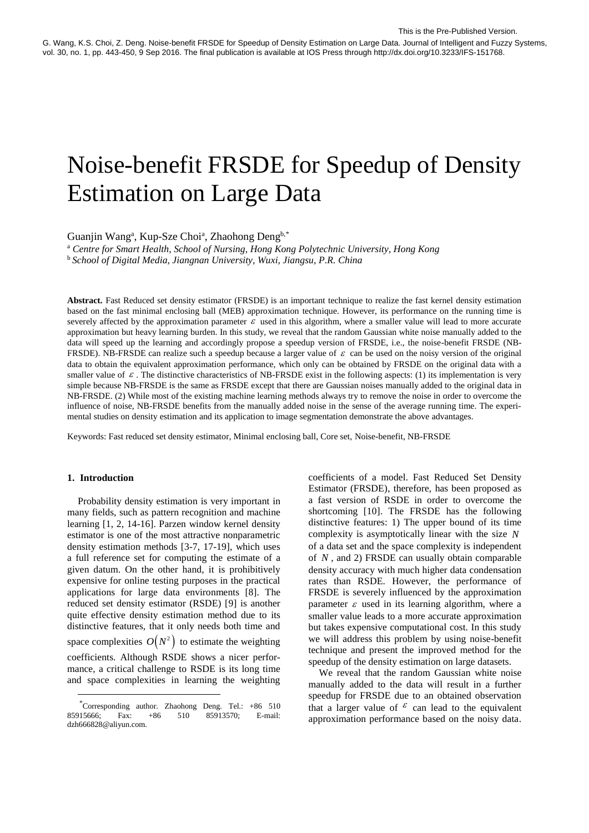# Noise-benefit FRSDE for Speedup of Density Estimation on Large Data

Guanjin Wang<sup>a</sup>, Kup-Sze Choi<sup>a</sup>, Zhaohong Deng<sup>b,\*</sup>

<sup>a</sup> *Centre for Smart Health, School of Nursing, Hong Kong Polytechnic University, Hong Kong* <sup>b</sup> *School of Digital Media, Jiangnan University, Wuxi, Jiangsu, P.R. China*

**Abstract.** Fast Reduced set density estimator (FRSDE) is an important technique to realize the fast kernel density estimation based on the fast minimal enclosing ball (MEB) approximation technique. However, its performance on the running time is severely affected by the approximation parameter  $\varepsilon$  used in this algorithm, where a smaller value will lead to more accurate approximation but heavy learning burden. In this study, we reveal that the random Gaussian white noise manually added to the data will speed up the learning and accordingly propose a speedup version of FRSDE, i.e., the noise-benefit FRSDE (NB-FRSDE). NB-FRSDE can realize such a speedup because a larger value of  $\varepsilon$  can be used on the noisy version of the original data to obtain the equivalent approximation performance, which only can be obtained by FRSDE on the original data with a smaller value of  $\varepsilon$ . The distinctive characteristics of NB-FRSDE exist in the following aspects: (1) its implementation is very simple because NB-FRSDE is the same as FRSDE except that there are Gaussian noises manually added to the original data in NB-FRSDE. (2) While most of the existing machine learning methods always try to remove the noise in order to overcome the influence of noise, NB-FRSDE benefits from the manually added noise in the sense of the average running time. The experimental studies on density estimation and its application to image segmentation demonstrate the above advantages.

Keywords: Fast reduced set density estimator, Minimal enclosing ball, Core set, Noise-benefit, NB-FRSDE

## **1. Introduction**

l

Probability density estimation is very important in many fields, such as pattern recognition and machine learning [1, 2, 14-16]. Parzen window kernel density estimator is one of the most attractive nonparametric density estimation methods [3-7, 17-19], which uses a full reference set for computing the estimate of a given datum. On the other hand, it is prohibitively expensive for online testing purposes in the practical applications for large data environments [8]. The reduced set density estimator (RSDE) [9] is another quite effective density estimation method due to its distinctive features, that it only needs both time and space complexities  $O(N^2)$  to estimate the weighting coefficients. Although RSDE shows a nicer performance, a critical challenge to RSDE is its long time and space complexities in learning the weighting

coefficients of a model. Fast Reduced Set Density Estimator (FRSDE), therefore, has been proposed as a fast version of RSDE in order to overcome the shortcoming [10]. The FRSDE has the following distinctive features: 1) The upper bound of its time complexity is asymptotically linear with the size *N* of a data set and the space complexity is independent of *N* , and 2) FRSDE can usually obtain comparable density accuracy with much higher data condensation rates than RSDE. However, the performance of FRSDE is severely influenced by the approximation parameter  $\varepsilon$  used in its learning algorithm, where a smaller value leads to a more accurate approximation but takes expensive computational cost. In this study we will address this problem by using noise-benefit technique and present the improved method for the speedup of the density estimation on large datasets.

We reveal that the random Gaussian white noise manually added to the data will result in a further speedup for FRSDE due to an obtained observation that a larger value of  $\epsilon$  can lead to the equivalent approximation performance based on the noisy data.

<sup>\*</sup>Corresponding author. Zhaohong Deng. Tel.: +86 510 85915666; Fax: +86 510 85913570; E-mail: dzh666828@aliyun.com.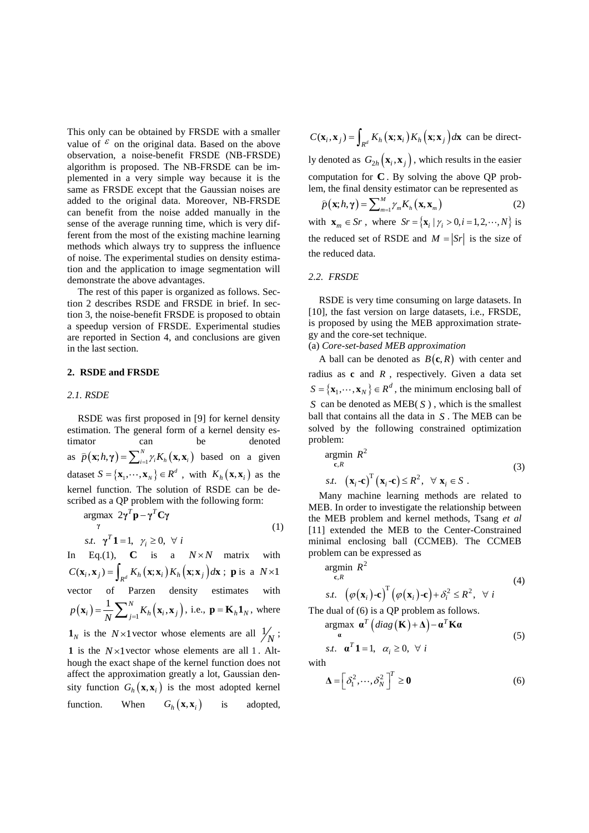This only can be obtained by FRSDE with a smaller value of  $\epsilon$  on the original data. Based on the above observation, a noise-benefit FRSDE (NB-FRSDE) algorithm is proposed. The NB-FRSDE can be implemented in a very simple way because it is the same as FRSDE except that the Gaussian noises are added to the original data. Moreover, NB-FRSDE can benefit from the noise added manually in the sense of the average running time, which is very different from the most of the existing machine learning methods which always try to suppress the influence of noise. The experimental studies on density estimation and the application to image segmentation will demonstrate the above advantages.

The rest of this paper is organized as follows. Section 2 describes RSDE and FRSDE in brief. In section 3, the noise-benefit FRSDE is proposed to obtain a speedup version of FRSDE. Experimental studies are reported in Section 4, and conclusions are given in the last section.

## **2. RSDE and FRSDE**

## *2.1. RSDE*

RSDE was first proposed in [9] for kernel density estimation. The general form of a kernel density estimator can be denoted as  $\hat{p}(\mathbf{x}; h, \gamma) = \sum_{i=1}^{N} \gamma_i K_h(\mathbf{x}, \mathbf{x}_i)$  based on a given dataset  $S = {\mathbf{x}_1, \dots, \mathbf{x}_N} \in R^d$ , with  $K_h(\mathbf{x}, \mathbf{x}_i)$  as the kernel function. The solution of RSDE can be described as a QP problem with the following form:

$$
\underset{\gamma}{\text{argmax}} \ 2\gamma^T \mathbf{p} - \gamma^T \mathbf{C} \gamma
$$
\n
$$
\gamma \quad \text{(1)}
$$
\n
$$
s.t. \ \gamma^T \mathbf{1} = 1, \ \gamma_i \ge 0, \ \forall \ i
$$

In Eq.(1), **C** is a 
$$
N \times N
$$
 matrix with  
\n $C(\mathbf{x}_i, \mathbf{x}_j) = \int_{R^d} K_h(\mathbf{x}; \mathbf{x}_i) K_h(\mathbf{x}; \mathbf{x}_j) d\mathbf{x}$ ; **p** is a  $N \times 1$   
\nvector of Parzen density estimates with  
\n $p(\mathbf{x}_i) = \frac{1}{N} \sum_{j=1}^N K_h(\mathbf{x}_i, \mathbf{x}_j)$ , i.e.,  $\mathbf{p} = \mathbf{K}_h \mathbf{1}_N$ , where  
\n $\mathbf{1}_N$  is the  $N \times 1$  vector whose elements are all  $1 / N$ ;  
\n1 is the  $N \times 1$  vector whose elements are all 1. Although  
\nthe exact shape of the Kernel function does not  
\naffect the approximation greatly a lot, Gaussian den-  
\nsity function  $G_h(\mathbf{x}, \mathbf{x}_i)$  is the most adopted kernel  
\nfunction. When  $G_h(\mathbf{x}, \mathbf{x}_i)$  is adopted,

$$
C(\mathbf{x}_i, \mathbf{x}_j) = \int_{R^d} K_h(\mathbf{x}; \mathbf{x}_i) K_h(\mathbf{x}; \mathbf{x}_j) d\mathbf{x}
$$
 can be direct-

ly denoted as  $G_{2h}(\mathbf{x}_i, \mathbf{x}_j)$ , which results in the easier computation for **C** . By solving the above QP problem, the final density estimator can be represented as

$$
\widehat{p}(\mathbf{x};h,\boldsymbol{\gamma}) = \sum_{m=1}^{M} \gamma_m K_h(\mathbf{x},\mathbf{x}_m)
$$
\n(2)

with  $\mathbf{x}_m \in S_r$ , where  $S_r = \{ \mathbf{x}_i \mid \gamma_i > 0, i = 1, 2, \dots, N \}$  is the reduced set of RSDE and  $M = |Sr|$  is the size of the reduced data.

### *2.2. FRSDE*

RSDE is very time consuming on large datasets. In [10], the fast version on large datasets, i.e., FRSDE, is proposed by using the MEB approximation strategy and the core-set technique.

(a) *Core-set-based MEB approximation*

A ball can be denoted as  $B(c, R)$  with center and radius as  $c$  and  $R$ , respectively. Given a data set  $S = {\mathbf{x}_1, \dots, \mathbf{x}_N} \in R^d$ , the minimum enclosing ball of *S* can be denoted as MEB( *S* ) , which is the smallest ball that contains all the data in *S* . The MEB can be solved by the following constrained optimization problem:

$$
\underset{\mathbf{c}, R}{\text{argmin}} R^2
$$
\n
$$
s.t. \quad (\mathbf{x}_i - \mathbf{c})^T (\mathbf{x}_i - \mathbf{c}) \le R^2, \quad \forall \mathbf{x}_i \in S .
$$
\n(3)

Many machine learning methods are related to MEB. In order to investigate the relationship between the MEB problem and kernel methods, Tsang *et al* [11] extended the MEB to the Center-Constrained minimal enclosing ball (CCMEB). The CCMEB

problem can be expressed as  
\n
$$
\underset{\mathbf{c}, R}{\text{argmin }} R^2
$$
\n
$$
s.t. \ (\varphi(\mathbf{x}_i) - \mathbf{c})^T (\varphi(\mathbf{x}_i) - \mathbf{c}) + \delta_i^2 \le R^2, \ \forall \ i
$$
\n(4)

The dual of (6) is a QP problem as follows.  
argmax<sub>a</sub> 
$$
\mathbf{a}^T \left( diag(\mathbf{K}) + \Delta \right) - \mathbf{a}^T \mathbf{K} \mathbf{a}
$$
 (5)

$$
s.t. \quad \boldsymbol{\alpha}^T \mathbf{1} = 1, \quad \alpha_i \geq 0, \quad \forall \ i
$$

with

$$
\Delta = \left[\delta_1^2, \cdots, \delta_N^2\right]^T \ge 0
$$
\n(6)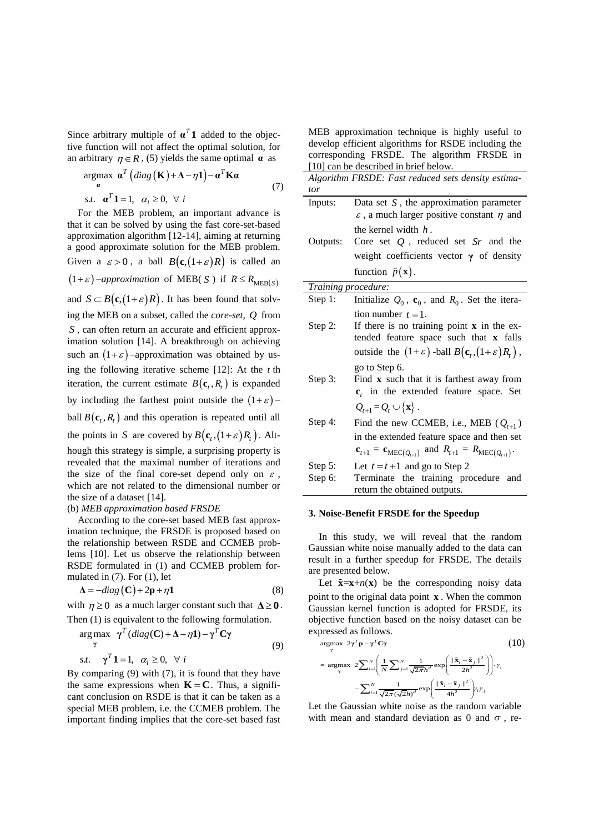Since arbitrary multiple of  $\mathbf{a}^T \mathbf{1}$  added to the objective function will not affect the optimal solution, for an arbitrary  $\eta \in R$ , (5) yields the same optimal  $\alpha$  as

$$
\underset{\mathbf{a}}{\operatorname{argmax}} \quad \mathbf{a}^T \left( \operatorname{diag} \left( \mathbf{K} \right) + \Delta - \eta \mathbf{1} \right) - \mathbf{a}^T \mathbf{K} \mathbf{a} \tag{7}
$$
\n
$$
\text{s.t.} \quad \mathbf{a}^T \mathbf{1} = 1, \ \alpha_i \ge 0, \ \forall \ i \tag{7}
$$

For the MEB problem, an important advance is that it can be solved by using the fast core-set-based approximation algorithm [12-14], aiming at returning a good approximate solution for the MEB problem. Given a  $\varepsilon > 0$ , a ball  $B(c,(1+\varepsilon)R)$  is called an  $(1+\varepsilon)$  *–approximation* of MEB(S) if  $R \le R_{\text{MEB}(S)}$ and  $S \subset B(c,(1+\varepsilon)R)$ . It has been found that solving the MEB on a subset, called the *core-set*, *Q* from *S* , can often return an accurate and efficient approximation solution [14]. A breakthrough on achieving such an  $(1+\varepsilon)$ -approximation was obtained by using the following iterative scheme [12]: At the *t* th iteration, the current estimate  $B(c_t, R_t)$  is expanded by including the farthest point outside the  $(1+\varepsilon)$ ball  $B(c_t, R_t)$  and this operation is repeated until all the points in S are covered by  $B(c_t, (1+\varepsilon)R_t)$ . Although this strategy is simple, a surprising property is revealed that the maximal number of iterations and the size of the final core-set depend only on  $\varepsilon$ , which are not related to the dimensional number or the size of a dataset [14].

## (b) *MEB approximation based FRSDE*

According to the core-set based MEB fast approximation technique, the FRSDE is proposed based on the relationship between RSDE and CCMEB problems [10]. Let us observe the relationship between RSDE formulated in (1) and CCMEB problem formulated in (7). For (1), let

$$
\Delta = -diag\left(C\right) + 2p + \eta \mathbf{1} \tag{8}
$$

with  $\eta \ge 0$  as a much larger constant such that  $\Delta \ge 0$ .

Then (1) is equivalent to the following formulation.  
\n
$$
\arg \max_{\gamma} \gamma^{T} (diag(\mathbf{C}) + \Delta - \eta \mathbf{1}) - \gamma^{T} \mathbf{C} \gamma
$$
\n
$$
\gamma
$$
\n(9)  
\n
$$
s.t. \gamma^{T} \mathbf{1} = 1, \alpha_{i} \ge 0, \forall i
$$

By comparing (9) with (7), it is found that they have the same expressions when  $K = C$ . Thus, a significant conclusion on RSDE is that it can be taken as a special MEB problem, i.e. the CCMEB problem. The important finding implies that the core-set based fast

MEB approximation technique is highly useful to develop efficient algorithms for RSDE including the corresponding FRSDE. The algorithm FRSDE in [10] can be described in brief below.

| [10] Call De described in Drier Delow. |                                                                                                          |  |  |  |  |
|----------------------------------------|----------------------------------------------------------------------------------------------------------|--|--|--|--|
|                                        | Algorithm FRSDE: Fast reduced sets density estima-                                                       |  |  |  |  |
| tor                                    |                                                                                                          |  |  |  |  |
| Inputs:                                | Data set $S$ , the approximation parameter<br>$\varepsilon$ , a much larger positive constant $\eta$ and |  |  |  |  |
|                                        | the kernel width $h$ .                                                                                   |  |  |  |  |
| Outputs:                               | Core set $Q$ , reduced set $Sr$ and the                                                                  |  |  |  |  |
|                                        | weight coefficients vector $\gamma$ of density                                                           |  |  |  |  |
|                                        | function $\hat{p}(\mathbf{x})$ .                                                                         |  |  |  |  |
| Training procedure:                    |                                                                                                          |  |  |  |  |
| Step 1:                                | Initialize $Q_0$ , $\mathbf{c}_0$ , and $R_0$ . Set the itera-                                           |  |  |  |  |
|                                        | tion number $t = 1$ .                                                                                    |  |  |  |  |
| Step 2:                                | If there is no training point $x$ in the ex-<br>tended feature space such that x falls                   |  |  |  |  |
|                                        | outside the $(1+\varepsilon)$ -ball $B(c_t,(1+\varepsilon)R_t)$ ,                                        |  |  |  |  |
|                                        | go to Step 6.                                                                                            |  |  |  |  |
| Step 3:                                | Find $x$ such that it is farthest away from<br>$\mathbf{c}_t$ in the extended feature space. Set         |  |  |  |  |
|                                        | $Q_{t+1} = Q_t \cup \{\mathbf{x}\}.$                                                                     |  |  |  |  |
| Step 4:                                | Find the new CCMEB, i.e., MEB $(Q_{t+1})$                                                                |  |  |  |  |
|                                        | in the extended feature space and then set                                                               |  |  |  |  |
|                                        | ${\bf c}_{t+1} = {\bf c}_{\text{MEC}(Q_{t+1})}$ and $R_{t+1} = R_{\text{MEC}(Q_{t+1})}$ .                |  |  |  |  |
| Step $5:$                              | Let $t = t + 1$ and go to Step 2                                                                         |  |  |  |  |
| Step 6:                                | Terminate the training procedure and<br>return the obtained outputs.                                     |  |  |  |  |

## **3. Noise-Benefit FRSDE for the Speedup**

In this study, we will reveal that the random Gaussian white noise manually added to the data can result in a further speedup for FRSDE. The details are presented below.

Let  $\tilde{\mathbf{x}} = \mathbf{x} + n(\mathbf{x})$  be the corresponding noisy data point to the original data point **x** . When the common Gaussian kernel function is adopted for FRSDE, its objective function based on the noisy dataset can be

expressed as follows.  
\n
$$
\underset{\gamma}{\operatorname{argmax}} 2\gamma^T \mathbf{p} - \gamma^T \mathbf{C} \gamma
$$
\n
$$
= \underset{\gamma}{\operatorname{argmax}} 2\sum_{i=1}^N \left( \frac{1}{N} \sum_{j=1}^N \frac{1}{\sqrt{2\pi} h^d} \exp\left( \frac{\|\tilde{\mathbf{x}}_i - \tilde{\mathbf{x}}_j\|^2}{2h^2} \right) \right) \gamma_i
$$
\n
$$
- \sum_{i=1}^N \frac{1}{\sqrt{2\pi} (\sqrt{2}h)^d} \exp\left( \frac{\|\tilde{\mathbf{x}}_i - \tilde{\mathbf{x}}_j\|^2}{4h^2} \right) \gamma_i \gamma_j
$$

Let the Gaussian white noise as the random variable with mean and standard deviation as 0 and  $\sigma$ , re-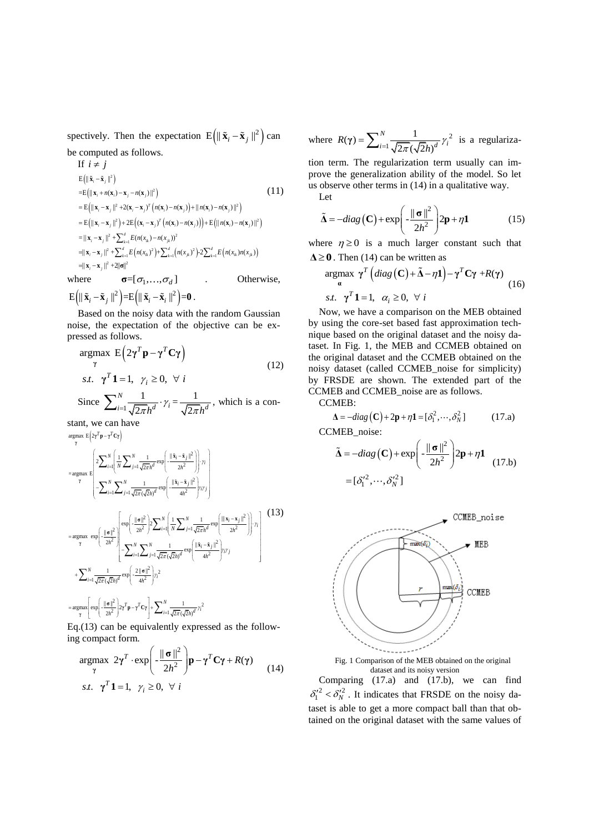spectively. Then the expectation  $E(|\mathbf{\tilde{x}}_i - \tilde{\mathbf{x}}_j|^2)$  can be computed as follows.

If 
$$
i \neq j
$$
  
\n
$$
E(|\mathbf{x}_i - \mathbf{x}_j|^2)
$$
\n
$$
= E(|\mathbf{x}_i - \mathbf{x}_j|^2 + 2(\mathbf{x}_i - \mathbf{x}_j)^T|
$$
\n
$$
= E(|\mathbf{x}_i - \mathbf{x}_j|^2 + 2(\mathbf{x}_i - \mathbf{x}_j)^T (n(\mathbf{x}_i) - n(\mathbf{x}_j)) + ||n(\mathbf{x}_i) - n(\mathbf{x}_j)||^2)
$$
\n
$$
= E(|\mathbf{x}_i - \mathbf{x}_j|^2) + 2E((\mathbf{x}_i - \mathbf{x}_j)^T (n(\mathbf{x}_i) - n(\mathbf{x}_j))) + E(|n(\mathbf{x}_i) - n(\mathbf{x}_j)||^2)
$$
\n
$$
= ||\mathbf{x}_i - \mathbf{x}_j||^2 + \sum_{k=1}^d E(n(x_k) - n(x_k))^2
$$
\n
$$
= ||\mathbf{x}_i - \mathbf{x}_j||^2 + \sum_{k=1}^d E(n(x_k)^2) + \sum_{k=1}^d (n(x_k)^2)^2 + 2\sum_{k=1}^d E(n(x_k)n(x_k)
$$
\n
$$
= ||\mathbf{x}_i - \mathbf{x}_j||^2 + 2||\mathbf{\sigma}||^2
$$
\ntherefore  $\mathbf{\sigma}_i$  Otherwise,

where  $\sigma = [\sigma_1, \ldots, \sigma_d]$  $E(|\tilde{\mathbf{x}}_i - \tilde{\mathbf{x}}_j||^2) = E(|\tilde{\mathbf{x}}_i - \tilde{\mathbf{x}}_i||^2) = \mathbf{0}.$ 

Based on the noisy data with the random Gaussian noise, the expectation of the objective can be expressed as follows.

$$
\underset{\gamma}{\operatorname{argmax}} \ \mathbf{E}\left(2\gamma^T \mathbf{p} - \gamma^T \mathbf{C} \gamma\right) \ns.t. \ \gamma^T \mathbf{1} = 1, \ \gamma_i \ge 0, \ \forall \ i
$$
\n
$$
\mathbf{I} = \gamma_i \quad \mathbf{I} = \mathbf{I} \tag{12}
$$

Since 
$$
\sum_{i=1}^{N} \frac{1}{\sqrt{2\pi}h^d} \cdot \gamma_i = \frac{1}{\sqrt{2\pi}h^d}
$$
, which is a con-

$$
\text{stant, we can have} \\ \underset{\gamma}{\text{argmax}} \mathbb{E}\left[2\gamma^T \mathbf{p} - \gamma^T \mathbf{C}\gamma\right] \\ = \underset{\gamma}{\text{argmax}} \mathbb{E}\left[2\sum_{i=1}^N \left(\frac{1}{N} \sum_{j=1}^N \frac{1}{\sqrt{2\pi}h^d} \exp\left(-\frac{\|\tilde{\mathbf{x}}_i - \tilde{\mathbf{x}}_j\|^2}{2h^2}\right)\right], \gamma_i \\ - \sum_{i=1}^N \sum_{j=1}^N \frac{1}{\sqrt{2\pi}(\sqrt{2}h)^d} \exp\left(-\frac{\|\tilde{\mathbf{x}}_i - \tilde{\mathbf{x}}_j\|^2}{4h^2}\right) \gamma_i\gamma_j\right] \\ = \underset{\gamma}{\text{argmax}} \exp\left(-\frac{\|\mathbf{G}\|^2}{2h^2}\right) \left[\exp\left(-\frac{\|\mathbf{G}\|^2}{2h^2}\right) 2\sum_{i=1}^N \left(\frac{1}{N} \sum_{j=1}^N \frac{1}{\sqrt{2\pi}h^d} \exp\left(\frac{\|\mathbf{x}_i - \mathbf{x}_j\|^2}{2h^2}\right)\right], \gamma_i\right] \\ + \sum_{i=1}^N \frac{1}{\sqrt{2\pi}(\sqrt{2}h)^d} \exp\left(-\frac{2\|\mathbf{G}\|^2}{4h^2}\right) \gamma_i^2 \\ = \underset{\gamma}{\text{argmax}} \left[\exp\left(-\frac{\|\mathbf{G}\|^2}{2h^2}\right) 2\gamma^T \mathbf{p} - \gamma^T \mathbf{C}\gamma\right] + \sum_{i=1}^N \frac{1}{\sqrt{2\pi}(\sqrt{2}h)^d} \gamma_i^2 \\ = \underset{\gamma}{\text{argmax}} \left[\exp\left(-\frac{\|\mathbf{G}\|^2}{2h^2}\right) 2\gamma^T \mathbf{p} - \gamma^T \mathbf{C}\gamma\right] + \sum_{i=1}^N \frac{1}{\sqrt{2\pi}(\sqrt{2}h)^d} \gamma_i^2
$$

Eq.(13) can be equivalently expressed as the following compact form.

compact form.  
\n
$$
\underset{\gamma}{\operatorname{argmax}} \quad 2\gamma^T \cdot \exp\left(-\frac{\|\boldsymbol{\sigma}\|^2}{2h^2}\right) \mathbf{p} - \gamma^T \mathbf{C} \gamma + R(\gamma)
$$
\n
$$
s.t. \quad \gamma^T \mathbf{1} = 1, \quad \gamma_i \ge 0, \quad \forall \ i
$$
\n(14)

where  $R(\gamma) = \sum_{i=1}^{N} \frac{1}{\sqrt{2\pi} \sqrt{2\pi} \sqrt{2}} \gamma_i^2$ 1  $f(\gamma) = \sum_{i=1}^N \frac{1}{\sqrt{2\pi}}$  $\sum_{i=1}^N \frac{1}{\sqrt{2\pi}(\sqrt{2}h)}$  $R(\gamma) = \sum_{i=1}^{\infty} \frac{1}{\sqrt{2\pi} (\sqrt{2}h)^d} \gamma_i$  $\gamma$ ) =  $\sum_{i=1}^{N} \frac{1}{\sqrt{2\pi}(\sqrt{2}h)^d} \gamma_i^2$  is a regulariza-

tion term. The regularization term usually can improve the generalization ability of the model. So let us observe other terms in (14) in a qualitative way. Let

$$
\tilde{\mathbf{\Delta}} = -diag\left(\mathbf{C}\right) + exp\left(-\frac{\|\mathbf{\sigma}\|^2}{2h^2}\right)2\mathbf{p} + \eta \mathbf{1}
$$
 (15)

where  $\eta \ge 0$  is a much larger constant such that

$$
\Delta \ge 0.
$$
 Then (14) can be written as  
argmax<sub>a</sub>  $\gamma^T \left( diag\left(\mathbf{C}\right) + \tilde{\Delta} - \eta \mathbf{1} \right) - \gamma^T \mathbf{C} \gamma + R(\gamma)$   
as.t.  $\gamma^T \mathbf{1} = 1$ ,  $\alpha_i \ge 0$ ,  $\forall i$  (16)

Now, we have a comparison on the MEB obtained by using the core-set based fast approximation technique based on the original dataset and the noisy dataset. In Fig. 1, the MEB and CCMEB obtained on the original dataset and the CCMEB obtained on the noisy dataset (called CCMEB\_noise for simplicity) by FRSDE are shown. The extended part of the CCMEB and CCMEB\_noise are as follows.

CCMEB:

$$
\Delta = -diag(\mathbf{C}) + 2\mathbf{p} + \eta \mathbf{1} = [\delta_1^2, \cdots, \delta_N^2]
$$
 (17.a)

CCMEB\_noise:

$$
\tilde{\mathbf{\Delta}} = -diag\left(\mathbf{C}\right) + exp\left(-\frac{\|\mathbf{\sigma}\|^2}{2h^2}\right)2\mathbf{p} + \eta \mathbf{1}
$$
\n
$$
= [\delta_1'^2, \cdots, \delta_N'^2]
$$
\n(17.5)



dataset and its noisy version

Comparing (17.a) and (17.b), we can find  $\delta_1^2 < \delta_N^2$ . It indicates that FRSDE on the noisy dataset is able to get a more compact ball than that obtained on the original dataset with the same values of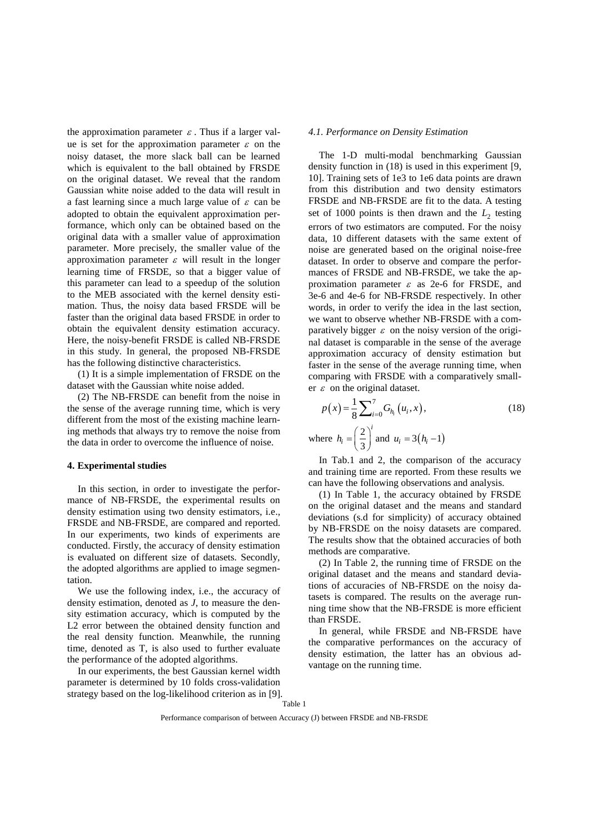the approximation parameter  $\varepsilon$ . Thus if a larger value is set for the approximation parameter  $\varepsilon$  on the noisy dataset, the more slack ball can be learned which is equivalent to the ball obtained by FRSDE on the original dataset. We reveal that the random Gaussian white noise added to the data will result in a fast learning since a much large value of  $\varepsilon$  can be adopted to obtain the equivalent approximation performance, which only can be obtained based on the original data with a smaller value of approximation parameter. More precisely, the smaller value of the approximation parameter  $\varepsilon$  will result in the longer learning time of FRSDE, so that a bigger value of this parameter can lead to a speedup of the solution to the MEB associated with the kernel density estimation. Thus, the noisy data based FRSDE will be faster than the original data based FRSDE in order to obtain the equivalent density estimation accuracy. Here, the noisy-benefit FRSDE is called NB-FRSDE in this study. In general, the proposed NB-FRSDE has the following distinctive characteristics.

(1) It is a simple implementation of FRSDE on the dataset with the Gaussian white noise added.

(2) The NB-FRSDE can benefit from the noise in the sense of the average running time, which is very different from the most of the existing machine learning methods that always try to remove the noise from the data in order to overcome the influence of noise.

### **4. Experimental studies**

In this section, in order to investigate the performance of NB-FRSDE, the experimental results on density estimation using two density estimators, i.e., FRSDE and NB-FRSDE, are compared and reported. In our experiments, two kinds of experiments are conducted. Firstly, the accuracy of density estimation is evaluated on different size of datasets. Secondly, the adopted algorithms are applied to image segmentation.

We use the following index, i.e., the accuracy of density estimation, denoted as *J*, to measure the density estimation accuracy, which is computed by the L2 error between the obtained density function and the real density function. Meanwhile, the running time, denoted as T, is also used to further evaluate the performance of the adopted algorithms.

In our experiments, the best Gaussian kernel width parameter is determined by 10 folds cross-validation strategy based on the log-likelihood criterion as in [9].

#### *4.1. Performance on Density Estimation*

The 1-D multi-modal benchmarking Gaussian density function in (18) is used in this experiment [9, 10]. Training sets of 1e3 to 1e6 data points are drawn from this distribution and two density estimators FRSDE and NB-FRSDE are fit to the data. A testing set of 1000 points is then drawn and the  $L_2$  testing errors of two estimators are computed. For the noisy data, 10 different datasets with the same extent of noise are generated based on the original noise-free dataset. In order to observe and compare the performances of FRSDE and NB-FRSDE, we take the approximation parameter  $\varepsilon$  as 2e-6 for FRSDE, and 3e-6 and 4e-6 for NB-FRSDE respectively. In other words, in order to verify the idea in the last section, we want to observe whether NB-FRSDE with a comparatively bigger  $\varepsilon$  on the noisy version of the original dataset is comparable in the sense of the average approximation accuracy of density estimation but faster in the sense of the average running time, when comparing with FRSDE with a comparatively smaller  $\varepsilon$  on the original dataset.

$$
p(x) = \frac{1}{8} \sum_{i=0}^{7} G_{h_i}(u_i, x),
$$
  
where  $h_i = \left(\frac{2}{3}\right)^i$  and  $u_i = 3(h_i - 1)$  (18)

In Tab.1 and 2, the comparison of the accuracy and training time are reported. From these results we can have the following observations and analysis.

(1) In Table 1, the accuracy obtained by FRSDE on the original dataset and the means and standard deviations (s.d for simplicity) of accuracy obtained by NB-FRSDE on the noisy datasets are compared. The results show that the obtained accuracies of both methods are comparative.

(2) In Table 2, the running time of FRSDE on the original dataset and the means and standard deviations of accuracies of NB-FRSDE on the noisy datasets is compared. The results on the average running time show that the NB-FRSDE is more efficient than FRSDE.

In general, while FRSDE and NB-FRSDE have the comparative performances on the accuracy of density estimation, the latter has an obvious advantage on the running time.

Table 1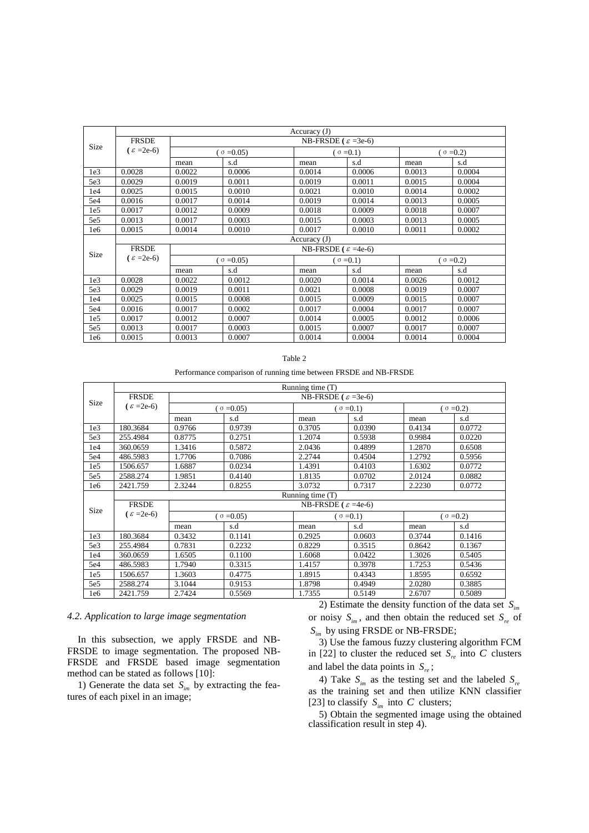|                 | Accuracy (J)                      |                                 |        |                   |        |                   |        |
|-----------------|-----------------------------------|---------------------------------|--------|-------------------|--------|-------------------|--------|
| <b>Size</b>     | <b>FRSDE</b><br>$\epsilon$ =2e-6) | NB-FRSDE ( $\varepsilon$ =3e-6) |        |                   |        |                   |        |
|                 |                                   | $\sigma = 0.05$                 |        | $( \sigma = 0.1)$ |        | $( \sigma = 0.2)$ |        |
|                 |                                   | mean                            | s.d    | mean              | s.d    | mean              | s.d    |
| 1e <sub>3</sub> | 0.0028                            | 0.0022                          | 0.0006 | 0.0014            | 0.0006 | 0.0013            | 0.0004 |
| 5e <sub>3</sub> | 0.0029                            | 0.0019                          | 0.0011 | 0.0019            | 0.0011 | 0.0015            | 0.0004 |
| 1e4             | 0.0025                            | 0.0015                          | 0.0010 | 0.0021            | 0.0010 | 0.0014            | 0.0002 |
| 5e4             | 0.0016                            | 0.0017                          | 0.0014 | 0.0019            | 0.0014 | 0.0013            | 0.0005 |
| 1e <sub>5</sub> | 0.0017                            | 0.0012                          | 0.0009 | 0.0018            | 0.0009 | 0.0018            | 0.0007 |
| 5e5             | 0.0013                            | 0.0017                          | 0.0003 | 0.0015            | 0.0003 | 0.0013            | 0.0005 |
| 1e6             | 0.0015                            | 0.0014                          | 0.0010 | 0.0017            | 0.0010 | 0.0011            | 0.0002 |
|                 | Accuracy (J)                      |                                 |        |                   |        |                   |        |
| <b>Size</b>     | <b>FRSDE</b>                      | NB-FRSDE ( $\varepsilon$ =4e-6) |        |                   |        |                   |        |
|                 | $\epsilon$ =2e-6)                 | $\sigma = 0.05$                 |        | $\sigma = 0.1$    |        | $( \sigma = 0.2)$ |        |
|                 |                                   | mean                            | s.d    | mean              | s.d    | mean              | s.d    |
| 1e <sub>3</sub> | 0.0028                            | 0.0022                          | 0.0012 | 0.0020            | 0.0014 | 0.0026            | 0.0012 |
| 5e3             | 0.0029                            | 0.0019                          | 0.0011 | 0.0021            | 0.0008 | 0.0019            | 0.0007 |
| 1e4             | 0.0025                            | 0.0015                          | 0.0008 | 0.0015            | 0.0009 | 0.0015            | 0.0007 |
| 5e4             | 0.0016                            | 0.0017                          | 0.0002 | 0.0017            | 0.0004 | 0.0017            | 0.0007 |
| 1e <sub>5</sub> | 0.0017                            | 0.0012                          | 0.0007 | 0.0014            | 0.0005 | 0.0012            | 0.0006 |
| 5e5             | 0.0013                            | 0.0017                          | 0.0003 | 0.0015            | 0.0007 | 0.0017            | 0.0007 |
| 1e6             | 0.0015                            | 0.0013                          | 0.0007 | 0.0014            | 0.0004 | 0.0014            | 0.0004 |

### Table 2

Performance comparison of running time between FRSDE and NB-FRSDE

|                 | Running time (T)  |                                 |        |                 |        |                   |        |  |
|-----------------|-------------------|---------------------------------|--------|-----------------|--------|-------------------|--------|--|
|                 | <b>FRSDE</b>      | NB-FRSDE ( $\varepsilon$ =3e-6) |        |                 |        |                   |        |  |
| <b>Size</b>     | $\epsilon$ =2e-6) | $\sigma = 0.05$                 |        | $( \circ =0.1)$ |        | $( \sigma = 0.2)$ |        |  |
|                 |                   | mean                            | s.d    | mean            | s.d    | mean              | s.d    |  |
| 1e <sub>3</sub> | 180.3684          | 0.9766                          | 0.9739 | 0.3705          | 0.0390 | 0.4134            | 0.0772 |  |
| 5e3             | 255.4984          | 0.8775                          | 0.2751 | 1.2074          | 0.5938 | 0.9984            | 0.0220 |  |
| 1e4             | 360.0659          | 1.3416                          | 0.5872 | 2.0436          | 0.4899 | 1.2870            | 0.6508 |  |
| 5e4             | 486.5983          | 1.7706                          | 0.7086 | 2.2744          | 0.4504 | 1.2792            | 0.5956 |  |
| 1e5             | 1506.657          | 1.6887                          | 0.0234 | 1.4391          | 0.4103 | 1.6302            | 0.0772 |  |
| 5e5             | 2588.274          | 1.9851                          | 0.4140 | 1.8135          | 0.0702 | 2.0124            | 0.0882 |  |
| 1e6             | 2421.759          | 2.3244                          | 0.8255 | 3.0732          | 0.7317 | 2.2230            | 0.0772 |  |
|                 | Running time (T)  |                                 |        |                 |        |                   |        |  |
|                 | <b>FRSDE</b>      | NB-FRSDE ( $\varepsilon$ =4e-6) |        |                 |        |                   |        |  |
| Size            | $\epsilon$ =2e-6) | $\sigma = 0.05$                 |        | $( \circ =0.1)$ |        | $( \sigma = 0.2)$ |        |  |
|                 |                   | mean                            | s.d    | mean            | s.d    | mean              | s.d    |  |
| 1e <sub>3</sub> | 180.3684          | 0.3432                          | 0.1141 | 0.2925          | 0.0603 | 0.3744            | 0.1416 |  |
| 5e3             | 255.4984          | 0.7831                          | 0.2232 | 0.8229          | 0.3515 | 0.8642            | 0.1367 |  |
| 1e4             | 360.0659          | 1.6505                          | 0.1100 | 1.6068          | 0.0422 | 1.3026            | 0.5405 |  |
| 5e4             | 486.5983          | 1.7940                          | 0.3315 | 1.4157          | 0.3978 | 1.7253            | 0.5436 |  |
| 1e5             | 1506.657          | 1.3603                          | 0.4775 | 1.8915          | 0.4343 | 1.8595            | 0.6592 |  |
| 5e5             | 2588.274          | 3.1044                          | 0.9153 | 1.8798          | 0.4949 | 2.0280            | 0.3885 |  |
| 1e6             | 2421.759          | 2.7424                          | 0.5569 | 1.7355          | 0.5149 | 2.6707            | 0.5089 |  |

#### *4.2. Application to large image segmentation*

In this subsection, we apply FRSDE and NB-FRSDE to image segmentation. The proposed NB-FRSDE and FRSDE based image segmentation method can be stated as follows [10]:

1) Generate the data set  $S_{im}$  by extracting the features of each pixel in an image;

2) Estimate the density function of the data set  $S_{im}$ or noisy  $S_{im}$ , and then obtain the reduced set  $S_{re}$  of *im S* by using FRSDE or NB-FRSDE;

3) Use the famous fuzzy clustering algorithm FCM in [22] to cluster the reduced set  $S_{re}$  into C clusters and label the data points in  $S_{re}$ ;

4) Take  $S_{im}$  as the testing set and the labeled  $S_{re}$ as the training set and then utilize KNN classifier [23] to classify  $S_{im}$  into C clusters;

5) Obtain the segmented image using the obtained classification result in step 4).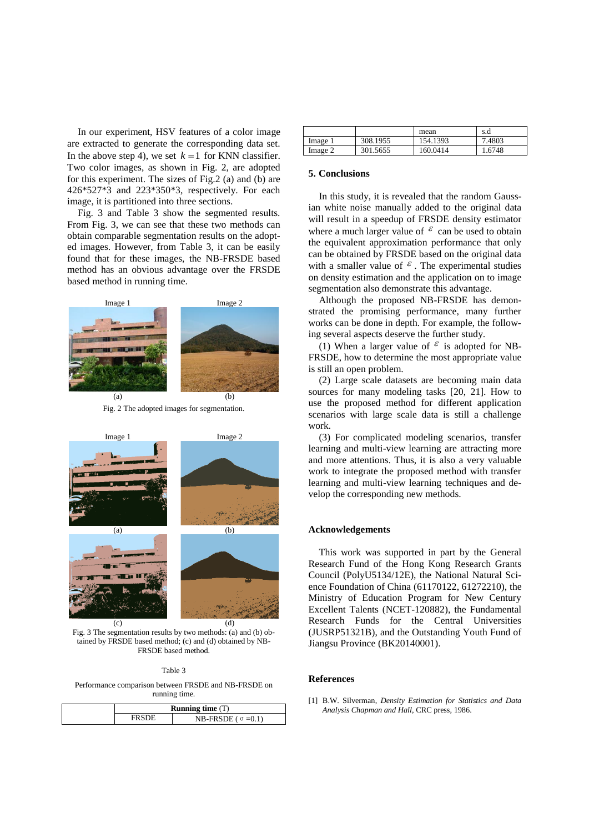In our experiment, HSV features of a color image are extracted to generate the corresponding data set. In the above step 4), we set  $k = 1$  for KNN classifier. Two color images, as shown in Fig. 2, are adopted for this experiment. The sizes of Fig.2 (a) and (b) are 426\*527\*3 and 223\*350\*3, respectively. For each image, it is partitioned into three sections.

Fig. 3 and Table 3 show the segmented results. From Fig. 3, we can see that these two methods can obtain comparable segmentation results on the adopted images. However, from Table 3, it can be easily found that for these images, the NB-FRSDE based method has an obvious advantage over the FRSDE based method in running time.



Fig. 2 The adopted images for segmentation.



Fig. 3 The segmentation results by two methods: (a) and (b) obtained by FRSDE based method; (c) and (d) obtained by NB-FRSDE based method.

#### Table 3

Performance comparison between FRSDE and NB-FRSDE on running time.

| <b>Running time</b> $(T)$ |                     |  |  |
|---------------------------|---------------------|--|--|
|                           | NB-FRSDE ( $\sigma$ |  |  |

|         |          | mean     | s.d    |
|---------|----------|----------|--------|
| Image   | 308.1955 | 154.1393 | 7.4803 |
| lmage : | 301.5655 | 160.0414 | .6748  |

## **5. Conclusions**

In this study, it is revealed that the random Gaussian white noise manually added to the original data will result in a speedup of FRSDE density estimator where a much larger value of  $\epsilon$  can be used to obtain the equivalent approximation performance that only can be obtained by FRSDE based on the original data with a smaller value of  $\epsilon$ . The experimental studies on density estimation and the application on to image segmentation also demonstrate this advantage.

Although the proposed NB-FRSDE has demonstrated the promising performance, many further works can be done in depth. For example, the following several aspects deserve the further study.

(1) When a larger value of  $\epsilon$  is adopted for NB-FRSDE, how to determine the most appropriate value is still an open problem.

(2) Large scale datasets are becoming main data sources for many modeling tasks [20, 21]. How to use the proposed method for different application scenarios with large scale data is still a challenge work.

(3) For complicated modeling scenarios, transfer learning and multi-view learning are attracting more and more attentions. Thus, it is also a very valuable work to integrate the proposed method with transfer learning and multi-view learning techniques and develop the corresponding new methods.

#### **Acknowledgements**

This work was supported in part by the General Research Fund of the Hong Kong Research Grants Council (PolyU5134/12E), the National Natural Science Foundation of China (61170122, 61272210), the Ministry of Education Program for New Century Excellent Talents (NCET-120882), the Fundamental Research Funds for the Central Universities (JUSRP51321B), and the Outstanding Youth Fund of Jiangsu Province (BK20140001).

#### **References**

[1] B.W. Silverman, *Density Estimation for Statistics and Data Analysis Chapman and Hall*, CRC press, 1986.